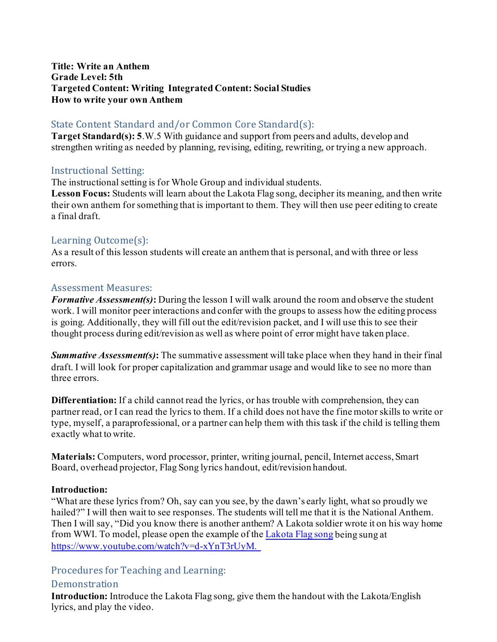#### **Title: Write an Anthem Grade Level: 5th Targeted Content: Writing Integrated Content: Social Studies How to write your own Anthem**

## State Content Standard and/or Common Core Standard(s):

**Target Standard(s): 5**.W.5 With guidance and support from peers and adults, develop and strengthen writing as needed by planning, revising, editing, rewriting, or trying a new approach.

### Instructional Setting:

The instructional setting is for Whole Group and individual students.

**Lesson Focus:** Students will learn about the Lakota Flag song, decipher its meaning, and then write their own anthem for something that is important to them. They will then use peer editing to create a final draft.

## Learning Outcome(s):

As a result of this lesson students will create an anthem that is personal, and with three or less errors.

### Assessment Measures:

*Formative Assessment(s)***:** During the lesson I will walk around the room and observe the student work. I will monitor peer interactions and confer with the groups to assess how the editing process is going. Additionally, they will fill out the edit/revision packet, and I will use this to see their thought process during edit/revision as well as where point of error might have taken place.

*Summative Assessment(s)***:** The summative assessment will take place when they hand in their final draft. I will look for proper capitalization and grammar usage and would like to see no more than three errors.

**Differentiation:** If a child cannot read the lyrics, or has trouble with comprehension, they can partner read, or I can read the lyrics to them. If a child does not have the fine motor skills to write or type, myself, a paraprofessional, or a partner can help them with this task if the child is telling them exactly what to write.

**Materials:** Computers, word processor, printer, writing journal, pencil, Internet access, Smart Board, overhead projector, Flag Song lyrics handout, edit/revision handout.

#### **Introduction:**

"What are these lyrics from? Oh, say can you see, by the dawn's early light, what so proudly we hailed?" I will then wait to see responses. The students will tell me that it is the National Anthem. Then I will say, "Did you know there is another anthem? A Lakota soldier wrote it on his way home from WWI. To model, please open the example of th[e Lakota Flag song](https://www.youtube.com/watch?v=d-xYnT3rUyM) being sung at <https://www.youtube.com/watch?v=d-xYnT3rUyM.>

# Procedures for Teaching and Learning:

## **Demonstration**

**Introduction:** Introduce the Lakota Flag song, give them the handout with the Lakota/English lyrics, and play the video.